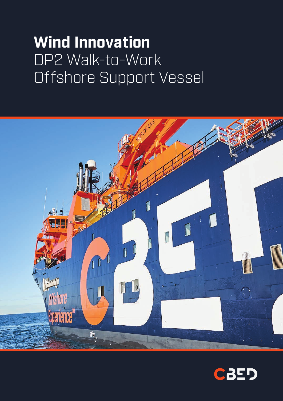# **Wind Innovation**  DP2 Walk-to-Work Offshore Support Vessel